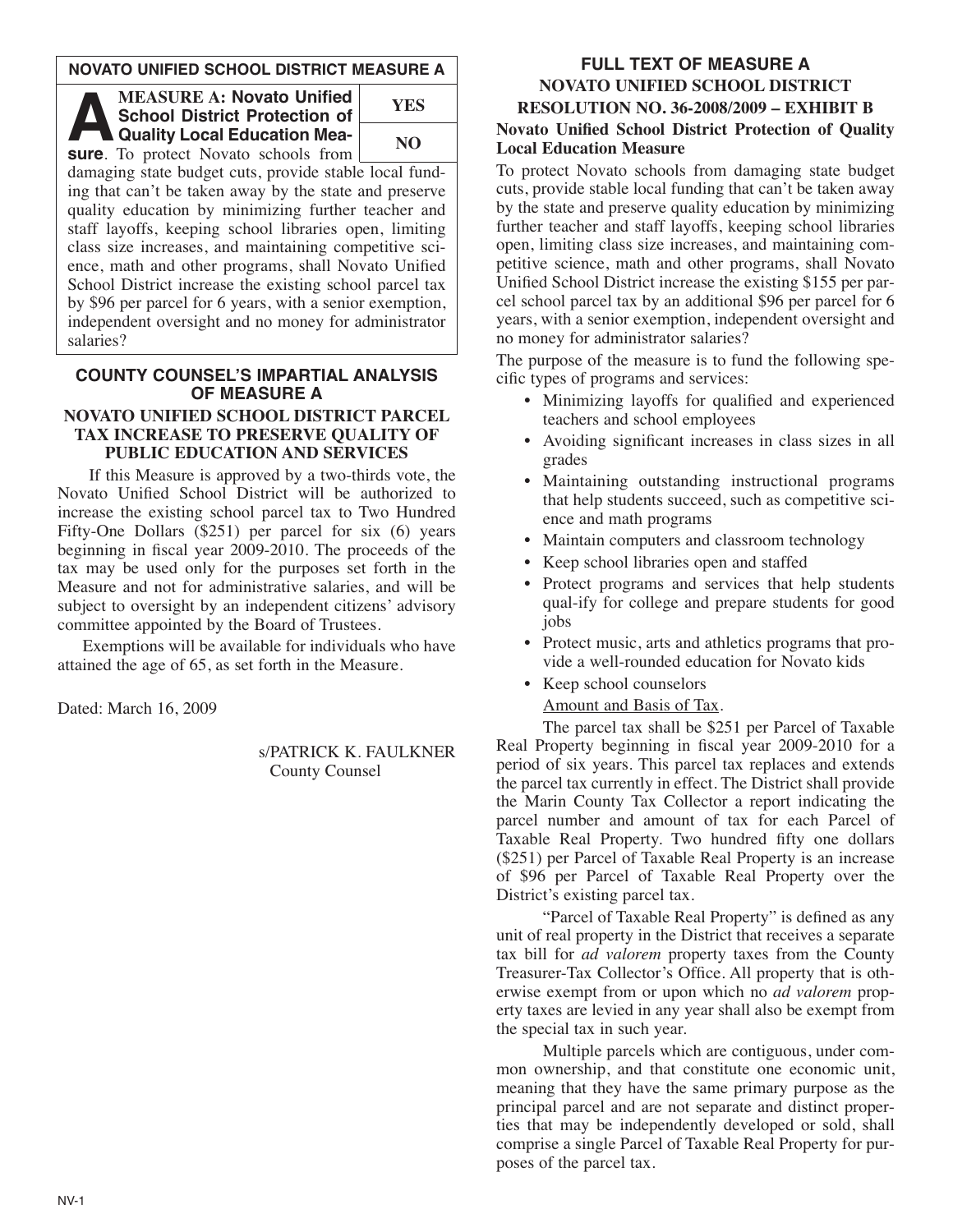# **NOVATO UNIFIED SCHOOL DISTRICT MEASURE A**

**A A School District Protection of Quality Local Education Measure To protect Novato schools from School District Protection of Quality Local Education Measure**. To protect Novato schools from



damaging state budget cuts, provide stable local funding that can't be taken away by the state and preserve quality education by minimizing further teacher and staff layoffs, keeping school libraries open, limiting class size increases, and maintaining competitive science, math and other programs, shall Novato Unified School District increase the existing school parcel tax by \$96 per parcel for 6 years, with a senior exemption, independent oversight and no money for administrator salaries?

#### **COUNTY COUNSEL'S IMPARTIAL ANALYSIS OF MEASURE A NOVATO UNIFIED SCHOOL DISTRICT PARCEL TAX INCREASE TO PRESERVE QUALITY OF PUBLIC EDUCATION AND SERVICES**

If this Measure is approved by a two-thirds vote, the Novato Unified School District will be authorized to increase the existing school parcel tax to Two Hundred Fifty-One Dollars (\$251) per parcel for six (6) years beginning in fiscal year 2009-2010. The proceeds of the tax may be used only for the purposes set forth in the Measure and not for administrative salaries, and will be subject to oversight by an independent citizens' advisory committee appointed by the Board of Trustees.

Exemptions will be available for individuals who have attained the age of 65, as set forth in the Measure.

Dated: March 16, 2009

s/PATRICK K. FAULKNER County Counsel

# **FULL TEXT OF MEASURE A NOVATO UNIFIED SCHOOL DISTRICT RESOLUTION NO. 36-2008/2009 – EXHIBIT B Novato Unified School District Protection of Quality Local Education Measure**

To protect Novato schools from damaging state budget cuts, provide stable local funding that can't be taken away by the state and preserve quality education by minimizing further teacher and staff layoffs, keeping school libraries open, limiting class size increases, and maintaining competitive science, math and other programs, shall Novato Unified School District increase the existing \$155 per parcel school parcel tax by an additional \$96 per parcel for 6 years, with a senior exemption, independent oversight and no money for administrator salaries?

The purpose of the measure is to fund the following specific types of programs and services:

- Minimizing layoffs for qualified and experienced teachers and school employees
- Avoiding significant increases in class sizes in all grades
- Maintaining outstanding instructional programs that help students succeed, such as competitive science and math programs
- Maintain computers and classroom technology
- Keep school libraries open and staffed
- Protect programs and services that help students qual-ify for college and prepare students for good jobs
- Protect music, arts and athletics programs that provide a well-rounded education for Novato kids
- Keep school counselors Amount and Basis of Tax.

The parcel tax shall be \$251 per Parcel of Taxable Real Property beginning in fiscal year 2009-2010 for a period of six years. This parcel tax replaces and extends the parcel tax currently in effect. The District shall provide the Marin County Tax Collector a report indicating the parcel number and amount of tax for each Parcel of Taxable Real Property. Two hundred fifty one dollars (\$251) per Parcel of Taxable Real Property is an increase of \$96 per Parcel of Taxable Real Property over the District's existing parcel tax.

"Parcel of Taxable Real Property" is defined as any unit of real property in the District that receives a separate tax bill for *ad valorem* property taxes from the County Treasurer-Tax Collector's Office. All property that is otherwise exempt from or upon which no *ad valorem* property taxes are levied in any year shall also be exempt from the special tax in such year.

Multiple parcels which are contiguous, under common ownership, and that constitute one economic unit, meaning that they have the same primary purpose as the principal parcel and are not separate and distinct properties that may be independently developed or sold, shall comprise a single Parcel of Taxable Real Property for purposes of the parcel tax.